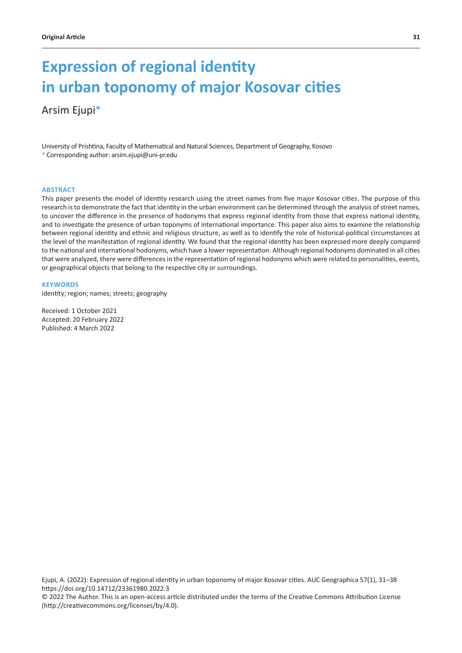# **Expression of regional identity in urban toponomy of major Kosovar cities**

# Arsim Ejupi\*

University of Prishtina, Faculty of Mathematical and Natural Sciences, Department of Geography, Kosovo \* Corresponding author: arsim.ejupi@uni-pr.edu

#### **ABSTRACT**

This paper presents the model of identity research using the street names from five major Kosovar cities. The purpose of this research is to demonstrate the fact that identity in the urban environment can be determined through the analysis of street names, to uncover the difference in the presence of hodonyms that express regional identity from those that express national identity, and to investigate the presence of urban toponyms of international importance. This paper also aims to examine the relationship between regional identity and ethnic and religious structure, as well as to identify the role of historical-political circumstances at the level of the manifestation of regional identity. We found that the regional identity has been expressed more deeply compared to the national and international hodonyms, which have a lower representation. Although regional hodonyms dominated in all cities that were analyzed, there were differences in the representation of regional hodonyms which were related to personalities, events, or geographical objects that belong to the respective city or surroundings.

#### **KEYWORDS**

identity; region; names; streets; geography

Received: 1 October 2021 Accepted: 20 February 2022 Published: 4 March 2022

Ejupi, A. (2022): Expression of regional identity in urban toponomy of major Kosovar cities. AUC Geographica 57(1), 31–38 https://doi.org/10.14712/23361980.2022.3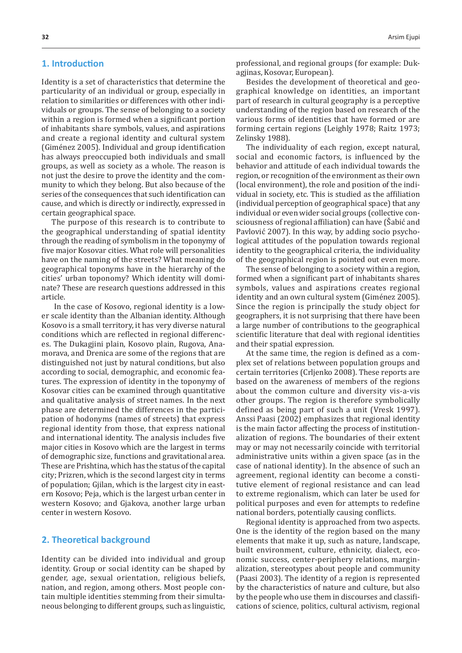# **1. Introduction**

Identity is a set of characteristics that determine the particularity of an individual or group, especially in relation to similarities or differences with other individuals or groups. The sense of belonging to a society within a region is formed when a significant portion of inhabitants share symbols, values, and aspirations and create a regional identity and cultural system (Giménez 2005). Individual and group identification has always preoccupied both individuals and small groups, as well as society as a whole. The reason is not just the desire to prove the identity and the community to which they belong. But also because of the series of the consequences that such identification can cause, and which is directly or indirectly, expressed in certain geographical space.

The purpose of this research is to contribute to the geographical understanding of spatial identity through the reading of symbolism in the toponymy of five major Kosovar cities. What role will personalities have on the naming of the streets? What meaning do geographical toponyms have in the hierarchy of the cities' urban toponomy? Which identity will dominate? These are research questions addressed in this article.

 In the case of Kosovo, regional identity is a lower scale identity than the Albanian identity. Although Kosovo is a small territory, it has very diverse natural conditions which are reflected in regional differences. The Dukagjini plain, Kosovo plain, Rugova, Anamorava, and Drenica are some of the regions that are distinguished not just by natural conditions, but also according to social, demographic, and economic features. The expression of identity in the toponymy of Kosovar cities can be examined through quantitative and qualitative analysis of street names. In the next phase are determined the differences in the participation of hodonyms (names of streets) that express regional identity from those, that express national and international identity. The analysis includes five major cities in Kosovo which are the largest in terms of demographic size, functions and gravitational area. These are Prishtina, which has the status of the capital city; Prizren, which is the second largest city in terms of population; Gjilan, which is the largest city in eastern Kosovo; Peja, which is the largest urban center in western Kosovo; and Gjakova, another large urban center in western Kosovo.

# **2. Theoretical background**

Identity can be divided into individual and group identity. Group or social identity can be shaped by gender, age, sexual orientation, religious beliefs, nation, and region, among others. Most people contain multiple identities stemming from their simultaneous belonging to different groups, such as linguistic, professional, and regional groups (for example: Dukagjinas, Kosovar, European).

Besides the development of theoretical and geographical knowledge on identities, an important part of research in cultural geography is a perceptive understanding of the region based on research of the various forms of identities that have formed or are forming certain regions (Leighly 1978; Raitz 1973; Zelinsky 1988).

The individuality of each region, except natural, social and economic factors, is influenced by the behavior and attitude of each individual towards the region, or recognition of the environment as their own (local environment), the role and position of the individual in society, etc. This is studied as the affiliation (individual perception of geographical space) that any individual or even wider social groups (collective consciousness of regional affiliation) can have (Šabić and Pavlović 2007). In this way, by adding socio psychological attitudes of the population towards regional identity to the geographical criteria, the individuality of the geographical region is pointed out even more.

The sense of belonging to a society within a region, formed when a significant part of inhabitants shares symbols, values and aspirations creates regional identity and an own cultural system (Giménez 2005). Since the region is principally the study object for geographers, it is not surprising that there have been a large number of contributions to the geographical scientific literature that deal with regional identities and their spatial expression.

At the same time, the region is defined as a complex set of relations between population groups and certain territories (Crljenko 2008). These reports are based on the awareness of members of the regions about the common culture and diversity vis-a-vis other groups. The region is therefore symbolically defined as being part of such a unit (Vresk 1997). Anssi Paasi (2002) emphasizes that regional identity is the main factor affecting the process of institutionalization of regions. The boundaries of their extent may or may not necessarily coincide with territorial administrative units within a given space (as in the case of national identity). In the absence of such an agreement, regional identity can become a constitutive element of regional resistance and can lead to extreme regionalism, which can later be used for political purposes and even for attempts to redefine national borders, potentially causing conflicts.

Regional identity is approached from two aspects. One is the identity of the region based on the many elements that make it up, such as nature, landscape, built environment, culture, ethnicity, dialect, economic success, center-periphery relations, marginalization, stereotypes about people and community (Paasi 2003). The identity of a region is represented by the characteristics of nature and culture, but also by the people who use them in discourses and classifications of science, politics, cultural activism, regional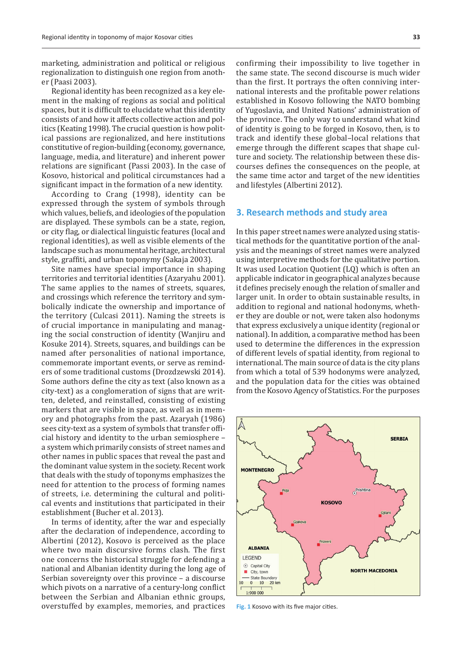marketing, administration and political or religious regionalization to distinguish one region from another (Paasi 2003).

Regional identity has been recognized as a key element in the making of regions as social and political spaces, but it is difficult to elucidate what this identity consists of and how it affects collective action and politics (Keating 1998). The crucial question is how political passions are regionalized, and here institutions constitutive of region-building (economy, governance, language, media, and literature) and inherent power relations are significant (Passi 2003). In the case of Kosovo, historical and political circumstances had a significant impact in the formation of a new identity.

According to Crang (1998), identity can be expressed through the system of symbols through which values, beliefs, and ideologies of the population are displayed. These symbols can be a state, region, or city flag, or dialectical linguistic features (local and regional identities), as well as visible elements of the landscape such as monumental heritage, architectural style, graffiti, and urban toponymy (Sakaja 2003).

Site names have special importance in shaping territories and territorial identities (Azaryahu 2001). The same applies to the names of streets, squares, and crossings which reference the territory and symbolically indicate the ownership and importance of the territory (Culcasi 2011). Naming the streets is of crucial importance in manipulating and managing the social construction of identity (Wanjiru and Kosuke 2014). Streets, squares, and buildings can be named after personalities of national importance, commemorate important events, or serve as reminders of some traditional customs (Drozdzewski 2014). Some authors define the city as text (also known as a city-text) as a conglomeration of signs that are written, deleted, and reinstalled, consisting of existing markers that are visible in space, as well as in memory and photographs from the past. Azaryah (1986) sees city-text as a system of symbols that transfer official history and identity to the urban semiosphere – a system which primarily consists of street names and other names in public spaces that reveal the past and the dominant value system in the society. Recent work that deals with the study of toponyms emphasizes the need for attention to the process of forming names of streets, i.e. determining the cultural and political events and institutions that participated in their establishment (Bucher et al. 2013).

In terms of identity, after the war and especially after the declaration of independence, according to Albertini (2012), Kosovo is perceived as the place where two main discursive forms clash. The first one concerns the historical struggle for defending a national and Albanian identity during the long age of Serbian sovereignty over this province – a discourse which pivots on a narrative of a century-long conflict between the Serbian and Albanian ethnic groups, overstuffed by examples, memories, and practices

confirming their impossibility to live together in the same state. The second discourse is much wider than the first. It portrays the often conniving international interests and the profitable power relations established in Kosovo following the NATO bombing of Yugoslavia, and United Nations' administration of the province. The only way to understand what kind of identity is going to be forged in Kosovo, then, is to track and identify these global–local relations that emerge through the different scapes that shape culture and society. The relationship between these discourses defines the consequences on the people, at the same time actor and target of the new identities and lifestyles (Albertini 2012).

#### **3. Research methods and study area**

In this paper street names were analyzed using statistical methods for the quantitative portion of the analysis and the meanings of street names were analyzed using interpretive methods for the qualitative portion. It was used Location Quotient (LQ) which is often an applicable indicator in geographical analyzes because it defines precisely enough the relation of smaller and larger unit. In order to obtain sustainable results, in addition to regional and national hodonyms, whether they are double or not, were taken also hodonyms that express exclusively a unique identity (regional or national). In addition, a comparative method has been used to determine the differences in the expression of different levels of spatial identity, from regional to international. The main source of data is the city plans from which a total of 539 hodonyms were analyzed, and the population data for the cities was obtained from the Kosovo Agency of Statistics. For the purposes



**Fig. 1** Kosovo with its five major cities.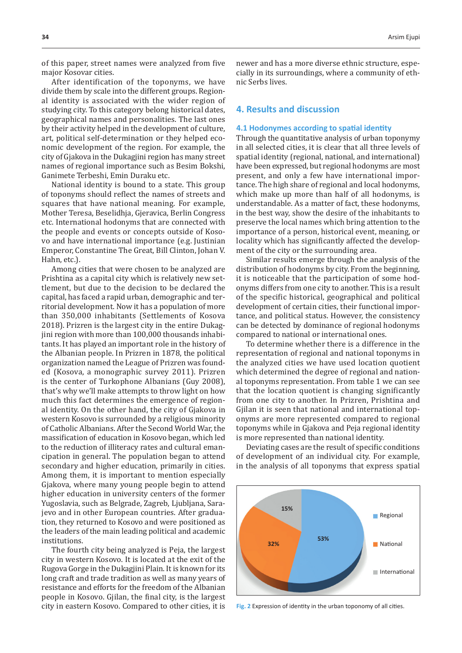of this paper, street names were analyzed from five major Kosovar cities.

After identification of the toponyms, we have divide them by scale into the different groups. Regional identity is associated with the wider region of studying city. To this category belong historical dates, geographical names and personalities. The last ones by their activity helped in the development of culture, art, political self-determination or they helped economic development of the region. For example, the city of Gjakova in the Dukagjini region has many street names of regional importance such as Besim Bokshi, Ganimete Terbeshi, Emin Duraku etc.

National identity is bound to a state. This group of toponyms should reflect the names of streets and squares that have national meaning. For example, Mother Teresa, Beselidhja, Gjeravica, Berlin Congress etc. International hodonyms that are connected with the people and events or concepts outside of Kosovo and have international importance (e.g. Justinian Emperor, Constantine The Great, Bill Clinton, Johan V. Hahn, etc.).

Among cities that were chosen to be analyzed are Prishtina as a capital city which is relatively new settlement, but due to the decision to be declared the capital, has faced a rapid urban, demographic and territorial development. Now it has a population of more than 350,000 inhabitants (Settlements of Kosova 2018). Prizren is the largest city in the entire Dukagjini region with more than 100,000 thousands inhabitants. It has played an important role in the history of the Albanian people. In Prizren in 1878, the political organization named the League of Prizren was founded (Kosova, a monographic survey 2011). Prizren is the center of Turkophone Albanians (Guy 2008), that's why we'll make attempts to throw light on how much this fact determines the emergence of regional identity. On the other hand, the city of Gjakova in western Kosovo is surrounded by a religious minority of Catholic Albanians. After the Second World War, the massification of education in Kosovo began, which led to the reduction of illiteracy rates and cultural emancipation in general. The population began to attend secondary and higher education, primarily in cities. Among them, it is important to mention especially Gjakova, where many young people begin to attend higher education in university centers of the former Yugoslavia, such as Belgrade, Zagreb, Ljubljana, Sarajevo and in other European countries. After graduation, they returned to Kosovo and were positioned as the leaders of the main leading political and academic institutions.

The fourth city being analyzed is Peja, the largest city in western Kosovo. It is located at the exit of the Rugova Gorge in the Dukagjini Plain. It is known for its long craft and trade tradition as well as many years of resistance and efforts for the freedom of the Albanian people in Kosovo. Gjilan, the final city, is the largest city in eastern Kosovo. Compared to other cities, it is newer and has a more diverse ethnic structure, especially in its surroundings, where a community of ethnic Serbs lives.

## **4. Results and discussion**

#### **4.1 Hodonymes according to spatial identity**

Through the quantitative analysis of urban toponymy in all selected cities, it is clear that all three levels of spatial identity (regional, national, and international) have been expressed, but regional hodonyms are most present, and only a few have international importance. The high share of regional and local hodonyms, which make up more than half of all hodonyms, is understandable. As a matter of fact, these hodonyms, in the best way, show the desire of the inhabitants to preserve the local names which bring attention to the importance of a person, historical event, meaning, or locality which has significantly affected the development of the city or the surrounding area.

Similar results emerge through the analysis of the distribution of hodonyms by city. From the beginning, it is noticeable that the participation of some hodonyms differs from one city to another. This is a result of the specific historical, geographical and political development of certain cities, their functional importance, and political status. However, the consistency can be detected by dominance of regional hodonyms compared to national or international ones.

To determine whether there is a difference in the representation of regional and national toponyms in the analyzed cities we have used location quotient which determined the degree of regional and national toponyms representation. From table 1 we can see that the location quotient is changing significantly from one city to another. In Prizren, Prishtina and Gjilan it is seen that national and international toponyms are more represented compared to regional toponyms while in Gjakova and Peja regional identity is more represented than national identity.

Deviating cases are the result of specific conditions of development of an individual city. For example, in the analysis of all toponyms that express spatial



**Fig. 2** Expression of identity in the urban toponomy of all cities.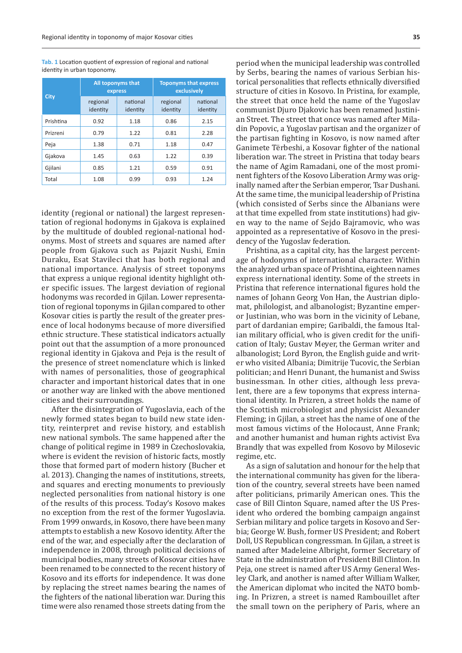**Tab. 1** Location quotient of expression of regional and national identity in urban toponomy.

| City      |                      | All toponyms that<br>express | <b>Toponyms that express</b><br>exclusively |                      |  |
|-----------|----------------------|------------------------------|---------------------------------------------|----------------------|--|
|           | regional<br>identity | national<br>identity         | regional<br>identity                        | national<br>identity |  |
| Prishtina | 0.92                 | 1.18                         | 0.86                                        | 2.15                 |  |
| Prizreni  | 0.79                 | 1.22                         | 0.81                                        | 2.28                 |  |
| Peja      | 1.38                 | 0.71                         | 1.18                                        | 0.47                 |  |
| Gjakova   | 1.45                 | 0.63                         | 1.22                                        | 0.39                 |  |
| Gjilani   | 0.85                 | 1.21                         | 0.59                                        | 0.91                 |  |
| Total     | 1.08                 | 0.99                         | 0.93                                        | 1.24                 |  |

identity (regional or national) the largest representation of regional hodonyms in Gjakova is explained by the multitude of doubled regional-national hodonyms. Most of streets and squares are named after people from Gjakova such as Pajazit Nushi, Emin Duraku, Esat Stavileci that has both regional and national importance. Analysis of street toponyms that express a unique regional identity highlight other specific issues. The largest deviation of regional hodonyms was recorded in Gjilan. Lower representation of regional toponyms in Gjilan compared to other Kosovar cities is partly the result of the greater presence of local hodonyms because of more diversified ethnic structure. These statistical indicators actually point out that the assumption of a more pronounced regional identity in Gjakova and Peja is the result of the presence of street nomenclature which is linked with names of personalities, those of geographical character and important historical dates that in one or another way are linked with the above mentioned cities and their surroundings.

After the disintegration of Yugoslavia, each of the newly formed states began to build new state identity, reinterpret and revise history, and establish new national symbols. The same happened after the change of political regime in 1989 in Czechoslovakia, where is evident the revision of historic facts, mostly those that formed part of modern history (Bucher et al. 2013). Changing the names of institutions, streets, and squares and erecting monuments to previously neglected personalities from national history is one of the results of this process. Today's Kosovo makes no exception from the rest of the former Yugoslavia. From 1999 onwards, in Kosovo, there have been many attempts to establish a new Kosovo identity. After the end of the war, and especially after the declaration of independence in 2008, through political decisions of municipal bodies, many streets of Kosovar cities have been renamed to be connected to the recent history of Kosovo and its efforts for independence. It was done by replacing the street names bearing the names of the fighters of the national liberation war. During this time were also renamed those streets dating from the period when the municipal leadership was controlled by Serbs, bearing the names of various Serbian historical personalities that reflects ethnically diversified structure of cities in Kosovo. In Pristina, for example, the street that once held the name of the Yugoslav communist Djuro Djakovic has been renamed Justinian Street. The street that once was named after Miladin Popovic, a Yugoslav partisan and the organizer of the partisan fighting in Kosovo, is now named after Ganimete Tërbeshi, a Kosovar fighter of the national liberation war. The street in Pristina that today bears the name of Agim Ramadani, one of the most prominent fighters of the Kosovo Liberation Army was originally named after the Serbian emperor, Tsar Dushani. At the same time, the municipal leadership of Pristina (which consisted of Serbs since the Albanians were at that time expelled from state institutions) had given way to the name of Sejdo Bajramovic, who was appointed as a representative of Kosovo in the presidency of the Yugoslav federation.

Prishtina, as a capital city, has the largest percentage of hodonyms of international character. Within the analyzed urban space of Prishtina, eighteen names express international identity. Some of the streets in Pristina that reference international figures hold the names of Johann Georg Von Han, the Austrian diplomat, philologist, and albanologist; Byzantine emperor Justinian, who was born in the vicinity of Lebane, part of dardanian empire; Garibaldi, the famous Italian military official, who is given credit for the unification of Italy; Gustav Meyer, the German writer and albanologist; Lord Byron, the English guide and writer who visited Albania; Dimitrije Tucovic, the Serbian politician; and Henri Dunant, the humanist and Swiss businessman. In other cities, although less prevalent, there are a few toponyms that express international identity. In Prizren, a street holds the name of the Scottish microbiologist and physicist Alexander Fleming; in Gjilan, a street has the name of one of the most famous victims of the Holocaust, Anne Frank; and another humanist and human rights activist Eva Brandly that was expelled from Kosovo by Milosevic regime, etc.

As a sign of salutation and honour for the help that the international community has given for the liberation of the country, several streets have been named after politicians, primarily American ones. This the case of Bill Clinton Square, named after the US President who ordered the bombing campaign angainst Serbian military and police targets in Kosovo and Serbia; George W. Bush, former US President; and Robert Doll, US Republican congressman. In Gjilan, a street is named after Madeleine Albright, former Secretary of State in the administration of President Bill Clinton. In Peja, one street is named after US Army General Wesley Clark, and another is named after William Walker, the American diplomat who incited the NATO bombing. In Prizren, a street is named Rambouillet after the small town on the periphery of Paris, where an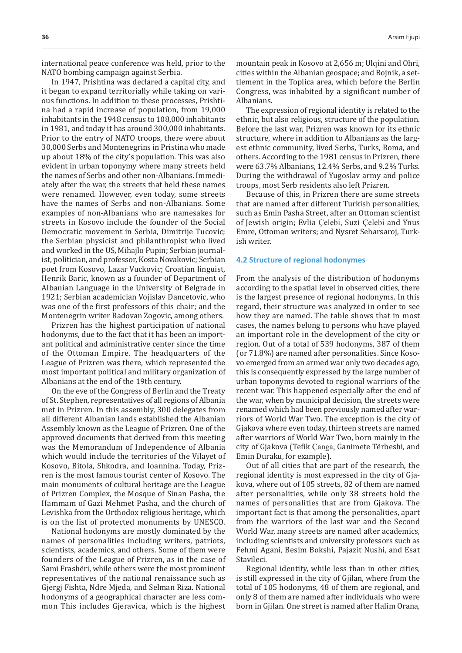international peace conference was held, prior to the NATO bombing campaign against Serbia.

In 1947, Prishtina was declared a capital city, and it began to expand territorially while taking on various functions. In addition to these processes, Prishtina had a rapid increase of population, from 19,000 inhabitants in the 1948 census to 108,000 inhabitants in 1981, and today it has around 300,000 inhabitants. Prior to the entry of NATO troops, there were about 30,000 Serbs and Montenegrins in Pristina who made up about 18% of the city's population. This was also evident in urban toponymy where many streets held the names of Serbs and other non-Albanians. Immediately after the war, the streets that held these names were renamed. However, even today, some streets have the names of Serbs and non-Albanians. Some examples of non-Albanians who are namesakes for streets in Kosovo include the founder of the Social Democratic movement in Serbia, Dimitrije Tucovic; the Serbian physicist and philanthropist who lived and worked in the US, Mihajlo Pupin; Serbian journalist, politician, and professor, Kosta Novakovic; Serbian poet from Kosovo, Lazar Vuckovic; Croatian linguist, Henrik Baric, known as a founder of Department of Albanian Language in the University of Belgrade in 1921; Serbian academician Vojislav Dancetovic, who was one of the first professors of this chair; and the Montenegrin writer Radovan Zogovic, among others.

Prizren has the highest participation of national hodonyms, due to the fact that it has been an important political and administrative center since the time of the Ottoman Empire. The headquarters of the League of Prizren was there, which represented the most important political and military organization of Albanians at the end of the 19th century.

On the eve of the Congress of Berlin and the Treaty of St. Stephen, representatives of all regions of Albania met in Prizren. In this assembly, 300 delegates from all different Albanian lands established the Albanian Assembly known as the League of Prizren. One of the approved documents that derived from this meeting was the Memorandum of Independence of Albania which would include the territories of the Vilayet of Kosovo, Bitola, Shkodra, and Ioannina. Today, Prizren is the most famous tourist center of Kosovo. The main monuments of cultural heritage are the League of Prizren Complex, the Mosque of Sinan Pasha, the Hammam of Gazi Mehmet Pasha, and the church of Levishka from the Orthodox religious heritage, which is on the list of protected monuments by UNESCO.

National hodonyms are mostly dominated by the names of personalities including writers, patriots, scientists, academics, and others. Some of them were founders of the League of Prizren, as in the case of Sami Frashëri, while others were the most prominent representatives of the national renaissance such as Gjergj Fishta, Ndre Mjeda, and Selman Riza. National hodonyms of a geographical character are less common This includes Gjeravica, which is the highest mountain peak in Kosovo at 2,656 m; Ulqini and Ohri, cities within the Albanian geospace; and Bojnik, a settlement in the Toplica area, which before the Berlin Congress, was inhabited by a significant number of Albanians.

The expression of regional identity is related to the ethnic, but also religious, structure of the population. Before the last war, Prizren was known for its ethnic structure, where in addition to Albanians as the largest ethnic community, lived Serbs, Turks, Roma, and others. According to the 1981 census in Prizren, there were 63.7% Albanians, 12.4% Serbs, and 9.2% Turks. During the withdrawal of Yugoslav army and police troops, most Serb residents also left Prizren.

Because of this, in Prizren there are some streets that are named after different Turkish personalities, such as Emin Pasha Street, after an Ottoman scientist of Jewish origin; Evlia Çelebi, Suzi Çelebi and Ynus Emre, Ottoman writers; and Nysret Seharsaroj, Turkish writer.

#### **4.2 Structure of regional hodonymes**

From the analysis of the distribution of hodonyms according to the spatial level in observed cities, there is the largest presence of regional hodonyms. In this regard, their structure was analyzed in order to see how they are named. The table shows that in most cases, the names belong to persons who have played an important role in the development of the city or region. Out of a total of 539 hodonyms, 387 of them (or 71.8%) are named after personalities. Since Kosovo emerged from an armed war only two decades ago, this is consequently expressed by the large number of urban toponyms devoted to regional warriors of the recent war. This happened especially after the end of the war, when by municipal decision, the streets were renamed which had been previously named after warriors of World War Two. The exception is the city of Gjakova where even today, thirteen streets are named after warriors of World War Two, born mainly in the city of Gjakova (Tefik Çanga, Ganimete Tërbeshi, and Emin Duraku, for example).

Out of all cities that are part of the research, the regional identity is most expressed in the city of Gjakova, where out of 105 streets, 82 of them are named after personalities, while only 38 streets hold the names of personalities that are from Gjakova. The important fact is that among the personalities, apart from the warriors of the last war and the Second World War, many streets are named after academics, including scientists and university professors such as Fehmi Agani, Besim Bokshi, Pajazit Nushi, and Esat Stavileci.

Regional identity, while less than in other cities, is still expressed in the city of Gjilan, where from the total of 105 hodonyms, 48 of them are regional, and only 8 of them are named after individuals who were born in Gjilan. One street is named after Halim Orana,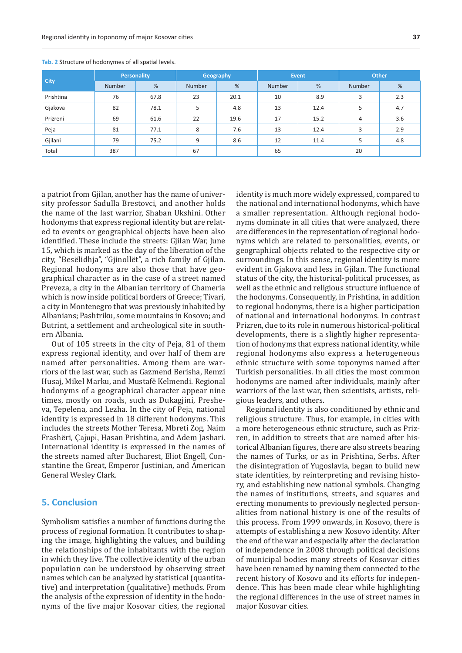| <b>City</b> | <b>Personality</b> |      | Geography |      | Event  |      | Other  |     |
|-------------|--------------------|------|-----------|------|--------|------|--------|-----|
|             | Number             | %    | Number    | %    | Number | %    | Number | %   |
| Prishtina   | 76                 | 67.8 | 23        | 20.1 | 10     | 8.9  | 3      | 2.3 |
| Gjakova     | 82                 | 78.1 | 5         | 4.8  | 13     | 12.4 |        | 4.7 |
| Prizreni    | 69                 | 61.6 | 22        | 19.6 | 17     | 15.2 | 4      | 3.6 |
| Peja        | 81                 | 77.1 | 8         | 7.6  | 13     | 12.4 | 3      | 2.9 |
| Gjilani     | 79                 | 75.2 | 9         | 8.6  | 12     | 11.4 |        | 4.8 |
| Total       | 387                |      | 67        |      | 65     |      | 20     |     |

**Tab. 2** Structure of hodonymes of all spatial levels.

a patriot from Gjilan, another has the name of university professor Sadulla Brestovci, and another holds the name of the last warrior, Shaban Ukshini. Other hodonyms that express regional identity but are related to events or geographical objects have been also identified. These include the streets: Gjilan War, June 15, which is marked as the day of the liberation of the city, "Besëlidhja", "Gjinollët", a rich family of Gjilan. Regional hodonyms are also those that have geographical character as in the case of a street named Preveza, a city in the Albanian territory of Chameria which is now inside political borders of Greece; Tivari, a city in Montenegro that was previously inhabited by Albanians; Pashtriku, some mountains in Kosovo; and Butrint, a settlement and archeological site in southern Albania.

Out of 105 streets in the city of Peja, 81 of them express regional identity, and over half of them are named after personalities. Among them are warriors of the last war, such as Gazmend Berisha, Remzi Husaj, Mikel Marku, and Mustafë Kelmendi. Regional hodonyms of a geographical character appear nine times, mostly on roads, such as Dukagjini, Presheva, Tepelena, and Lezha. In the city of Peja, national identity is expressed in 18 different hodonyms. This includes the streets Mother Teresa, Mbreti Zog, Naim Frashëri, Çajupi, Hasan Prishtina, and Adem Jashari. International identity is expressed in the names of the streets named after Bucharest, Eliot Engell, Constantine the Great, Emperor Justinian, and American General Wesley Clark.

## **5. Conclusion**

Symbolism satisfies a number of functions during the process of regional formation. It contributes to shaping the image, highlighting the values, and building the relationships of the inhabitants with the region in which they live. The collective identity of the urban population can be understood by observing street names which can be analyzed by statistical (quantitative) and interpretation (qualitative) methods. From the analysis of the expression of identity in the hodonyms of the five major Kosovar cities, the regional identity is much more widely expressed, compared to the national and international hodonyms, which have a smaller representation. Although regional hodonyms dominate in all cities that were analyzed, there are differences in the representation of regional hodonyms which are related to personalities, events, or geographical objects related to the respective city or surroundings. In this sense, regional identity is more evident in Gjakova and less in Gjilan. The functional status of the city, the historical-political processes, as well as the ethnic and religious structure influence of the hodonyms. Consequently, in Prishtina, in addition to regional hodonyms, there is a higher participation of national and international hodonyms. In contrast Prizren, due to its role in numerous historical-political developments, there is a slightly higher representation of hodonyms that express national identity, while regional hodonyms also express a heterogeneous ethnic structure with some toponyms named after Turkish personalities. In all cities the most common hodonyms are named after individuals, mainly after warriors of the last war, then scientists, artists, religious leaders, and others.

Regional identity is also conditioned by ethnic and religious structure. Thus, for example, in cities with a more heterogeneous ethnic structure, such as Prizren, in addition to streets that are named after historical Albanian figures, there are also streets bearing the names of Turks, or as in Prishtina, Serbs. After the disintegration of Yugoslavia, began to build new state identities, by reinterpreting and revising history, and establishing new national symbols. Changing the names of institutions, streets, and squares and erecting monuments to previously neglected personalities from national history is one of the results of this process. From 1999 onwards, in Kosovo, there is attempts of establishing a new Kosovo identity. After the end of the war and especially after the declaration of independence in 2008 through political decisions of municipal bodies many streets of Kosovar cities have been renamed by naming them connected to the recent history of Kosovo and its efforts for independence. This has been made clear while highlighting the regional differences in the use of street names in major Kosovar cities.